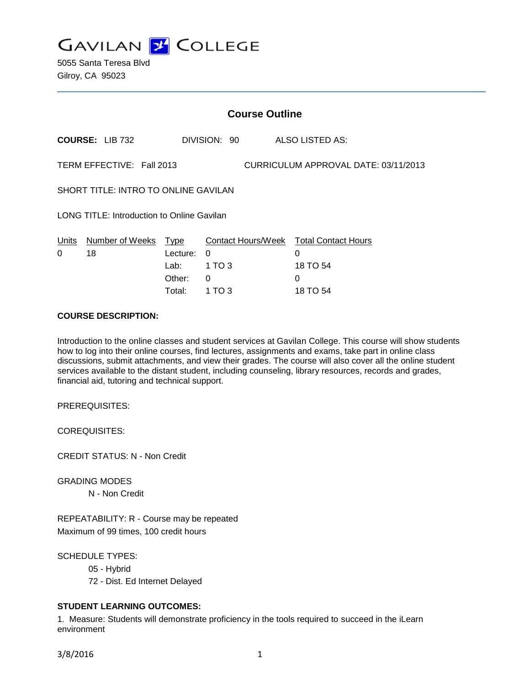

5055 Santa Teresa Blvd Gilroy, CA 95023

|                                             |                            |                  |              | <b>Course Outline</b> |                                                         |  |  |
|---------------------------------------------|----------------------------|------------------|--------------|-----------------------|---------------------------------------------------------|--|--|
|                                             | <b>COURSE: LIB 732</b>     |                  | DIVISION: 90 |                       | ALSO LISTED AS:                                         |  |  |
|                                             | TERM EFFECTIVE: Fall 2013  |                  |              |                       | CURRICULUM APPROVAL DATE: 03/11/2013                    |  |  |
| <b>SHORT TITLE: INTRO TO ONLINE GAVILAN</b> |                            |                  |              |                       |                                                         |  |  |
| LONG TITLE: Introduction to Online Gavilan  |                            |                  |              |                       |                                                         |  |  |
| Units<br>0                                  | Number of Weeks Type<br>18 | Lecture:<br>Lab: | 0<br>1 TO 3  |                       | Contact Hours/Week Total Contact Hours<br>0<br>18 TO 54 |  |  |
|                                             |                            | Other:           | 0            |                       | 0                                                       |  |  |

#### **COURSE DESCRIPTION:**

Introduction to the online classes and student services at Gavilan College. This course will show students how to log into their online courses, find lectures, assignments and exams, take part in online class discussions, submit attachments, and view their grades. The course will also cover all the online student services available to the distant student, including counseling, library resources, records and grades, financial aid, tutoring and technical support.

Total: 1 TO 3 18 TO 54

PREREQUISITES:

COREQUISITES:

CREDIT STATUS: N - Non Credit

GRADING MODES N - Non Credit

REPEATABILITY: R - Course may be repeated Maximum of 99 times, 100 credit hours

SCHEDULE TYPES: 05 - Hybrid 72 - Dist. Ed Internet Delayed

### **STUDENT LEARNING OUTCOMES:**

1. Measure: Students will demonstrate proficiency in the tools required to succeed in the iLearn environment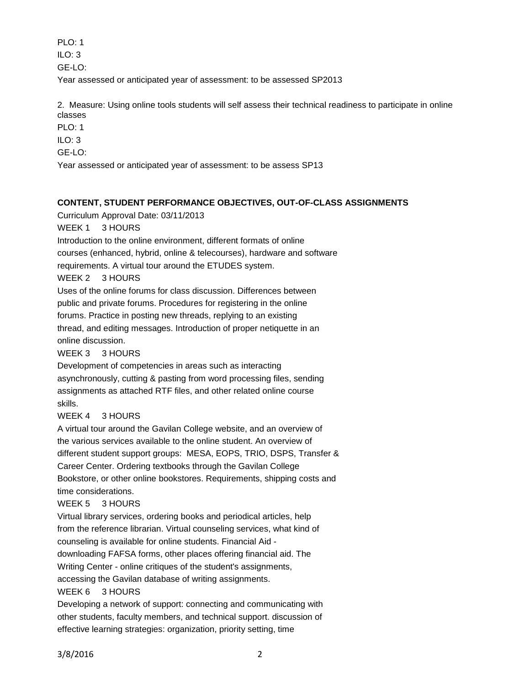PLO: 1

 $II$  O: 3

GE-LO:

Year assessed or anticipated year of assessment: to be assessed SP2013

2. Measure: Using online tools students will self assess their technical readiness to participate in online classes

PLO: 1

ILO: 3

GE-LO:

Year assessed or anticipated year of assessment: to be assess SP13

### **CONTENT, STUDENT PERFORMANCE OBJECTIVES, OUT-OF-CLASS ASSIGNMENTS**

Curriculum Approval Date: 03/11/2013

WEEK 1 3 HOURS

Introduction to the online environment, different formats of online

courses (enhanced, hybrid, online & telecourses), hardware and software

requirements. A virtual tour around the ETUDES system.

WEEK 2 3 HOURS

Uses of the online forums for class discussion. Differences between

public and private forums. Procedures for registering in the online

forums. Practice in posting new threads, replying to an existing

thread, and editing messages. Introduction of proper netiquette in an online discussion.

WEEK 3 3 HOURS

Development of competencies in areas such as interacting asynchronously, cutting & pasting from word processing files, sending assignments as attached RTF files, and other related online course skills.

# WEEK 4 3 HOURS

A virtual tour around the Gavilan College website, and an overview of the various services available to the online student. An overview of different student support groups: MESA, EOPS, TRIO, DSPS, Transfer & Career Center. Ordering textbooks through the Gavilan College Bookstore, or other online bookstores. Requirements, shipping costs and time considerations.

# WEEK 5 3 HOURS

Virtual library services, ordering books and periodical articles, help from the reference librarian. Virtual counseling services, what kind of counseling is available for online students. Financial Aid downloading FAFSA forms, other places offering financial aid. The Writing Center - online critiques of the student's assignments,

accessing the Gavilan database of writing assignments.

# WEEK 6 3 HOURS

Developing a network of support: connecting and communicating with other students, faculty members, and technical support. discussion of effective learning strategies: organization, priority setting, time